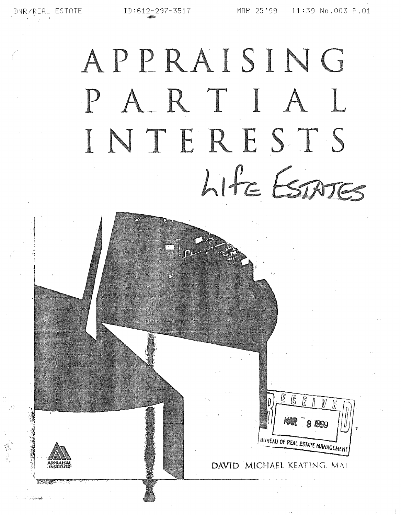1. 生命

# APPRAISING PARTIAL INTERESTS LIFE ESTATES

DAVID MICHAEL KEATING, MAI

BUREAU OF REAL ESTATE MANAGEMEN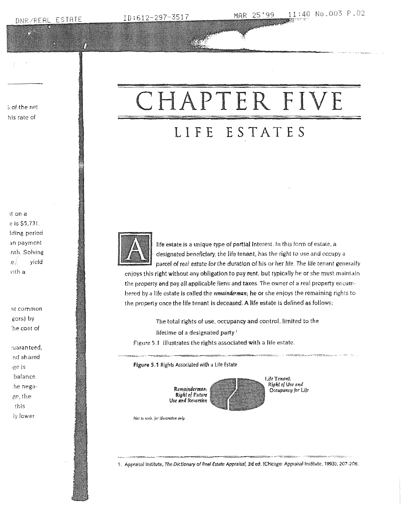ID:612-297-3517

% of the net his rate of

#### it on a e is \$5,731. Iding period an payment inth. Solving  $. e.$ yield vith a

st common gors) by he cost of

juaranteed, nd shared ige is balance. the negage, the this ly lower

## CHAPTER FIVE LIFE ESTATES



life estate is a unique type of partial interest. In this form of estate, a designated beneficiary, the life tenant, has the right to use and occupy a parcel of real estate for the duration of his or her life. The life tenant generally

enjoys this right without any obligation to pay rent, but typically he or she must maintain the property and pay all applicable liens and taxes. The owner of a real property encumbered by a life estate is called the remainderman; he or she enjoys the remaining rights to the property once the life tenant is deceased. A life estate is defined as follows:

The total rights of use, occupancy and control, limited to the

lifetime of a designated party.<sup>1</sup>

Figure 5.1 Illustrates the rights associated with a life estate.

Figure 5.1 Rights Associated with a Life Estate



Life Tenant: Right of Use and Occupancy for Life

Not to scale, for illustration only

1. Appraisal Institute, The Dictionary of Real Estate Appraisal, 3d ed. (Chicago: Appraisal Institute, 1993), 207-208.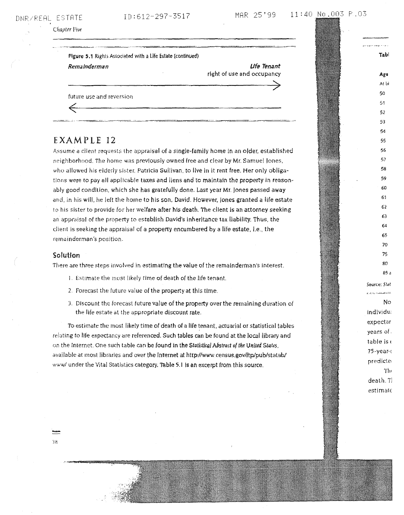#### DNR/REAL ESTATE

#### ID:612-297-3517

Chapter Pive

#### Figure 5.1 Rights Associated with a Life Estate (continued)

Remainderman

**Ufe Tenant** right of use and occupancy

future use and reversion

### EXAMPLE 12

Assume a client requests the appraisal of a single-family home in an older, established neighborhood. The home was previously owned free and clear by Mr. Samuel Jones. who allowed his elderly sister, Patricia Sullivan, to live in it rent free. Her only obligations were to pay all applicable taxes and liens and to maintain the property in reasonably good condition, which she has gratefully done. Last year Mr. Jones passed away and, in his will, he left the home to his son, David. However, Jones granted a life estate to his sister to provide for her welfare after his death. The client is an attorney seeking an appraisal of the property to establish David's inheritance tax liability. Thus, the client is seeking the appraisal of a property encumbered by a life estate, i.e., the remainderman's position.

#### Solution

38

There are three steps involved in estimating the value of the remainderman's interest.

- 1. Estimate the most likely time of death of the life tenant.
- 2. Forecast the future value of the property at this time.
- 3. Discount the forecast future value of the property over the remaining duration of the life estate at the appropriate discount rate.

To estimate the most likely time of death of a life tenant, actuarial or statistical tables relating to life expectancy are referenced. Such tables can be found at the local library and on the Internet. One such table can be found in the Statistical Abstract of the United States. available at most libraries and over the Internet at http://www.census.gov/ftp/pub/statab/ www/ under the Vital Statistics category. Table 5.1 is an excerpt from this source.

Tabl Age Al bi 50 51 52 53 54 55 56 57 58 59 60 61 62 63 64 65 70 75 80  $R5A$ Source: Stat .<br>ممالك المستقل المسابقة الموارد الموارد الم No. individua expectar years of table is c 75-year-c predicter The death. Tl  $estim$ at $\epsilon$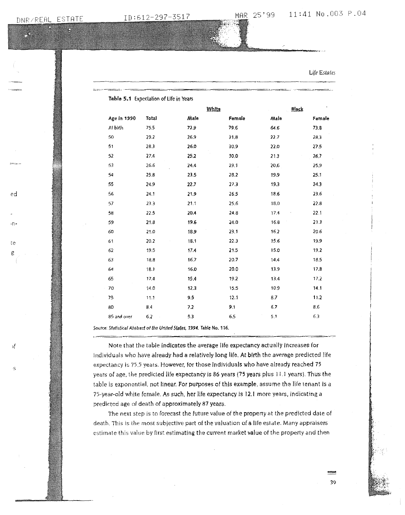ed

 $n$ 

-te  $_{\rm e}$ 

эf

Life Estates

|             |       | White |        | Black |        |
|-------------|-------|-------|--------|-------|--------|
| Age In 1990 | Total | Alale | Female | Male  | Female |
| At birth    | 75,5  | 72,9  | 79.6   | 64.6  | 73.8   |
| 50          | 29.2  | 26.9  | 31.8   | 22.7  | 28,3   |
| 51          | 28.3  | 26.0  | 30,9   | 22.0  | 27.5   |
| 52          | 27.4  | 25.2  | 30.0   | 21.3  | 26.7   |
| 53          | 26.6  | 24.4  | 29.1   | 20.6  | 25,9   |
| 54          | 25.8  | 23.5  | 28.2   | 19.9  | 25.1   |
| 55          | 24.9  | 22.7  | 27.3   | 19.3  | 24.3   |
| 56          | 24.1  | 21.9  | 26,5   | 18.6  | 23.6   |
| 57          | 23.3  | 21.1  | 25.6   | 18,0  | 22.8   |
| 58          | 22.5  | 20.4  | 24.8   | 17.4  | 22.1   |
| 59          | 21.8  | 19.6  | 24.0   | 16.8  | 21.3   |
| 60          | 21.0  | 18.9  | 23.1   | 16.2  | 20.6   |
| 61          | 20.2  | 18.1  | 22.3   | 15.6  | 19.9   |
| 62          | 19.5  | 17.4  | 21.5   | 15.0  | 19,2   |
| 63          | 18.8  | 16.7  | 20.7   | 14.4  | 18.5   |
| 64          | 18.1  | 16.0  | 20.0   | 13.9  | 17.8   |
| 65          | 17,4  | 15.4  | 19.2   | 13.4  | 17.2   |
| 70          | 14.0  | 12.3  | 15.5   | 10.9  | 14.1   |
| 75          | 11.1  | 9.5   | 12.1   | 8.7   | 11.2   |
| 80          | 8.4   | 7.2   | 9.1    | 6.7   | 8.6    |
| 85 and over | 6,2   | 5.3   | 6.5    | 5,1   | 6.3    |

Source: Statistical Abstract of the United States, 1994. Table No. 116.

Note that the table indicates the average life expectancy actually increases for individuals who have already had a relatively long life. At birth the average predicted life expectancy is 75.5 years. However, for those Individuals who have already reached 75 years of age, the predicted life expectancy is 86 years (75 years plus 11.1 years). Thus the table is exponential, not linear. For purposes of this example, assume the life tenant is a 75-year-old white female. As such, her life expectancy is 12.1 more years, indicating a predicted age of death of approximately 87 years.

The next step is to forecast the future value of the property at the predicted date of death. This is the most subjective part of the valuation of a life estate. Many appraisers estimate this value by first estimating the current market value of the property and then

39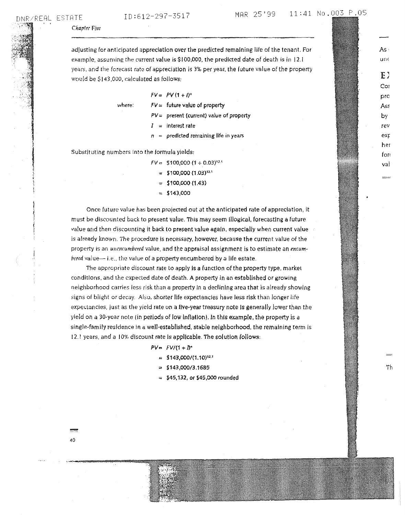je po podruženo pre

 $"$ '

> ...... 40

 $\overline{\mathsf{unf}}$ 

As -

EJ Coi pro AsE by rev exr her fori val

Th

Chapter Five

adjusting for antlclpaced appredatlon over the predicted remaining life of the tenant. For example, assuming the current value is \$100,000, the predicted date of death is in 12.1 years, and the forecast rate of appreciation is 3% per year, the future value of the property would be \$143,000, calculated as follows:

where:

 $FV = PV(1 + l)^n$ 

 $FV=$  future value of property

- $PV =$  present (current) value of property
- $I =$  interest rate
- $n =$  predicted remaining life in years

Substituting numbers Into the formula yields:

 $FV =$  \$100,000 (1 + 0.03)<sup>12.4</sup>

- $=$  \$100,000 (1.03)<sup>12,1</sup>
- $=$  \$100,000 (1.43)
- $= $143,000$

Once future value has been projected out at rhe anticipated rate of appreciation, It must be discounted back to present value. This may seem illogical, forecasting a future value and then discounting it back to present value again, especially when current value is already known. The procedure Is necessary, however, because the current value of the property is an unencumbered value, and the appraisal assignment is to estimate an encum $b$ ered value- $-$  i.e., the value of a property encumbered by a life estate.

The appropriate discount rate to apply is a function of the property type, market condltlons. and the expected date of death\_ A property ln an establlshed or growing neighborhood carries less risk than a property In a declining area that is already showing signs of blight or decay. Also, shorter life expectancies have less risk than longer life expectancies, just as the yield rate on a flve-year treasury note Is generally lower than the yield on a 30-ycar note (in periods of low Inflation). Jn this example, rhe property is a single-family residence in a well-established, stable neighborhood, the remaining term is 12.1 years, and a 10% discount rate is applicable. The solution follows:

#### $PV = FV/(1 + D^*$

- $=$  \$143,000/(1.10)<sup>12.1</sup>
- $=$  \$143,000/3.1685
- $=$  \$45,132, or \$45,000 rounded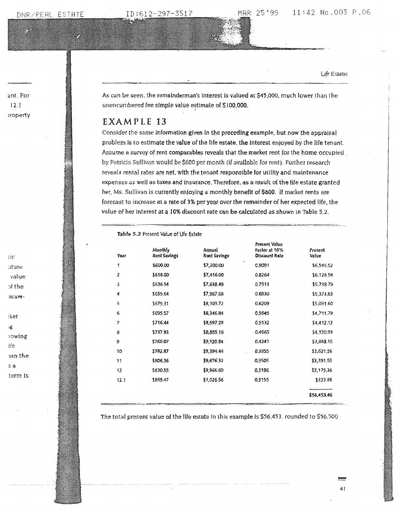7.

ID:612-297-3517

Life Estates

As can be seen, the remainderman's interest is valued at \$45,000, much lower than the unencumbered fee simple value estimate of \$100,000.

MAR.

#### EXAMPLE 13

Consider the same information given in the preceding example, but now the appraisal problem is to estimate the value of the life estate, the interest enjoyed by the life tenant. Assume a survey of rent comparables reveals that the market rent for the home occupied by Patricia Sullivan would be \$600 per month (if available for rent). Further research reveals rental rates are net, with the tenant responsible for utility and maintenance expenses as well as taxes and insurance. Therefore, as a result of the life estate granted her, Ms. Sullivan is currently enjoying a monthly benefit of \$600. If market rents are forecast to increase at a rate of 3% per year over the remainder of her expected life, the value of her interest at a 10% discount rate can be calculated as shown in Table 5.2.

Table 5.2 Present Value of Life Estate

| Year | Monthly<br><b>Rent Savings</b> | Annual<br>Rent Savings | Present Value<br>Factor at 10%<br>Discount Rate | Present<br>Value |
|------|--------------------------------|------------------------|-------------------------------------------------|------------------|
| 1    | \$600,00                       | \$7,200.00             | 0.9091                                          | \$6,545,52       |
| 2    | \$618.00                       | \$7,416.00             | 0,8264                                          | \$6,128.58       |
| 3    | \$636.54                       | \$7,638,48             | 0.7513                                          | \$5,738.79       |
| 4    | \$655.64                       | \$7,867.68             | 0.6830                                          | \$5,373,63       |
| 5    | \$675.31                       | \$8,103.72             | 0,6209                                          | \$5,031.60       |
| 6    | \$695.57                       | \$8,346.84             | 0.5645                                          | \$4,711.79       |
| 7    | \$716.44                       | \$8,597.28             | 0.5132                                          | \$4,412.12       |
| 8    | 5737.93                        | \$8,855.16             | 0,4665                                          | \$4,130.93       |
| ð    | 5760.07                        | \$9,120.84             | 0,4241                                          | \$3,868.15       |
| 10   | \$782.87                       | \$9,394.44             | 0,3855                                          | \$3,621.56       |
| 11   | \$806,36                       | \$9,676.32             | 0.3505                                          | \$3,391.55       |
| 12   | \$830,55                       | \$9,966.60             | 0.3186                                          | \$3,175,36       |
| 12.1 | \$855.47                       | \$1,026.56             | 0.3155                                          | \$323.88         |
|      |                                |                        |                                                 | \$56,453.46      |
|      |                                |                        |                                                 |                  |

The total present value of the life estate in this example is \$56,453, rounded to \$56,500.

-tic uture value of the mcumrket

ant. For

 $12.1$ voperty

ıg **rowing** lfe าan the s a

term is